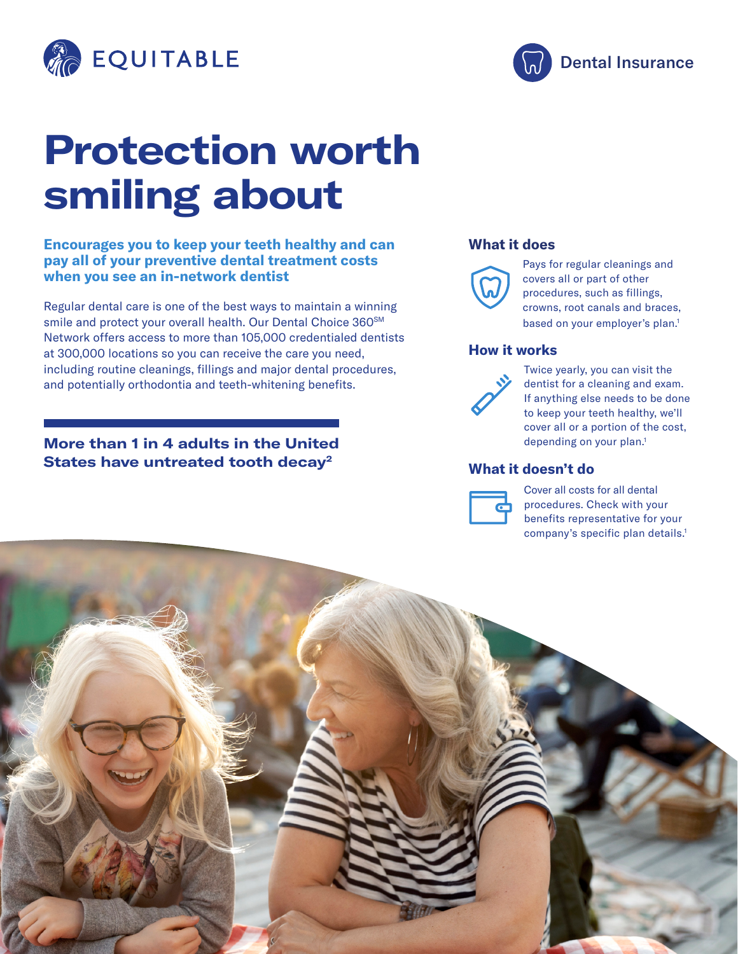

# **Protection worth smiling about**

#### **Encourages you to keep your teeth healthy and can pay all of your preventive dental treatment costs when you see an in-network dentist**

Regular dental care is one of the best ways to maintain a winning smile and protect your overall health. Our Dental Choice 360SM Network offers access to more than 105,000 credentialed dentists at 300,000 locations so you can receive the care you need, including routine cleanings, fillings and major dental procedures, and potentially orthodontia and teeth-whitening benefits.

### **More than 1 in 4 adults in the United States have untreated tooth decay2**

#### **What it does**



Pays for regular cleanings and covers all or part of other procedures, such as fillings, crowns, root canals and braces, based on your employer's plan.<sup>1</sup>

#### **How it works**



Twice yearly, you can visit the dentist for a cleaning and exam. If anything else needs to be done to keep your teeth healthy, we'll cover all or a portion of the cost, depending on your plan.<sup>1</sup>

#### **What it doesn't do**



Cover all costs for all dental procedures. Check with your benefits representative for your company's specific plan details.1



Dental Insurance